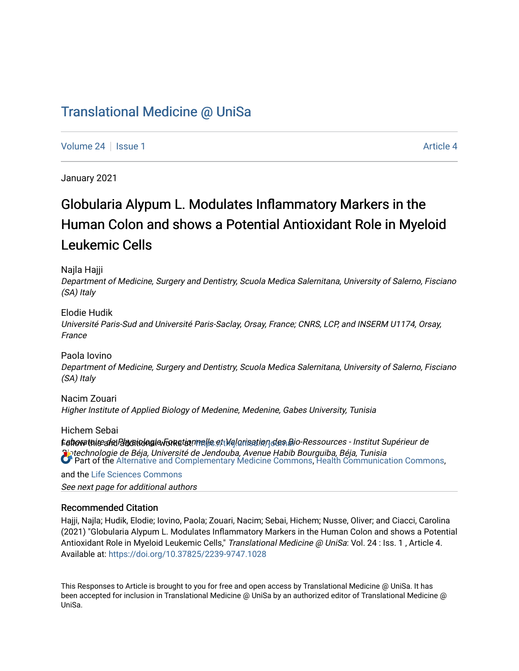# [Translational Medicine @ UniSa](https://tmj.unisa.it/journal)

[Volume 24](https://tmj.unisa.it/journal/vol24) | [Issue 1](https://tmj.unisa.it/journal/vol24/iss1) [Article 4](https://tmj.unisa.it/journal/vol24/iss1/4) | Article 4 | Article 4 | Article 4 | Article 4 | Article 4 | Article 4 | Article 4 | Article 4 | Article 4 | Article 4 | Article 4 | Article 4 | Article 4 | Article 4 | Article 4 | Article 4

January 2021

# Globularia Alypum L. Modulates Inflammatory Markers in the Human Colon and shows a Potential Antioxidant Role in Myeloid Leukemic Cells

Najla Hajji

Department of Medicine, Surgery and Dentistry, Scuola Medica Salernitana, University of Salerno, Fisciano (SA) Italy

Elodie Hudik

Université Paris-Sud and Université Paris-Saclay, Orsay, France; CNRS, LCP, and INSERM U1174, Orsay, France

Paola Iovino Department of Medicine, Surgery and Dentistry, Scuola Medica Salernitana, University of Salerno, Fisciano (SA) Italy

Nacim Zouari Higher Institute of Applied Biology of Medenine, Medenine, Gabes University, Tunisia

Hichem Sebai

tahowthis and Bhysitula aie Fonction melle et Malorisation des Bio-Ressources - Institut Supérieur de Biotechnologie de Béja, Université de Jendouba, Avenue Habib Bourguiba, Béja, Tunisia **Part of the [Alternative and Complementary Medicine Commons,](https://network.bepress.com/hgg/discipline/649?utm_source=tmj.unisa.it%2Fjournal%2Fvol24%2Fiss1%2F4&utm_medium=PDF&utm_campaign=PDFCoverPages) [Health Communication Commons](https://network.bepress.com/hgg/discipline/330?utm_source=tmj.unisa.it%2Fjournal%2Fvol24%2Fiss1%2F4&utm_medium=PDF&utm_campaign=PDFCoverPages),** 

See next page for additional authors and the [Life Sciences Commons](https://network.bepress.com/hgg/discipline/1016?utm_source=tmj.unisa.it%2Fjournal%2Fvol24%2Fiss1%2F4&utm_medium=PDF&utm_campaign=PDFCoverPages)

# Recommended Citation

Hajji, Najla; Hudik, Elodie; Iovino, Paola; Zouari, Nacim; Sebai, Hichem; Nusse, Oliver; and Ciacci, Carolina (2021) "Globularia Alypum L. Modulates Inflammatory Markers in the Human Colon and shows a Potential Antioxidant Role in Myeloid Leukemic Cells," Translational Medicine @ UniSa: Vol. 24 : Iss. 1, Article 4. Available at:<https://doi.org/10.37825/2239-9747.1028>

This Responses to Article is brought to you for free and open access by Translational Medicine @ UniSa. It has been accepted for inclusion in Translational Medicine @ UniSa by an authorized editor of Translational Medicine @ UniSa.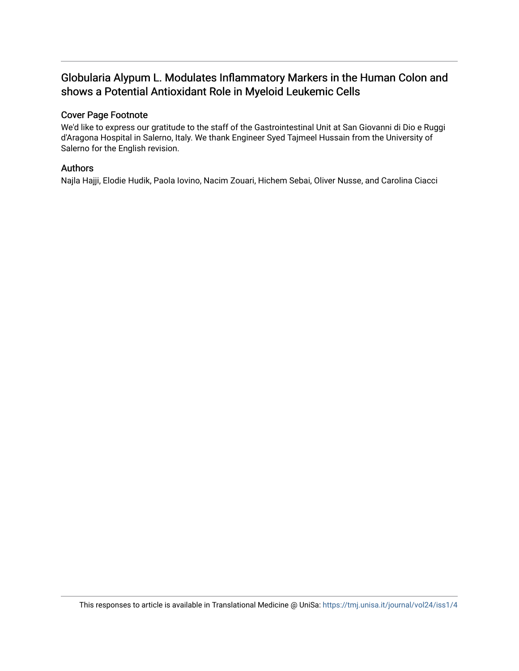# Globularia Alypum L. Modulates Inflammatory Markers in the Human Colon and shows a Potential Antioxidant Role in Myeloid Leukemic Cells

# Cover Page Footnote

We'd like to express our gratitude to the staff of the Gastrointestinal Unit at San Giovanni di Dio e Ruggi d'Aragona Hospital in Salerno, Italy. We thank Engineer Syed Tajmeel Hussain from the University of Salerno for the English revision.

# Authors

Najla Hajji, Elodie Hudik, Paola Iovino, Nacim Zouari, Hichem Sebai, Oliver Nusse, and Carolina Ciacci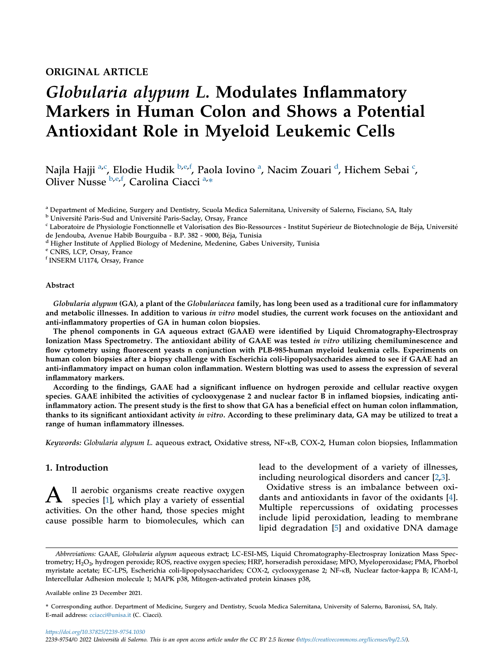# ORIGINAL ARTICLE

# Globularia alypum L. Modulates Inflammatory Markers in Human Colon and Shows a Potential Antioxidant Role in Myeloid Leukemic Cells

N[a](#page-2-0)jla Hajji <sup>a[,c](#page-2-1)</sup>, Elodie Hudik <sup>[b,](#page-2-2)[e](#page-2-3),[f](#page-2-4)</sup>, Paola Iovino <sup>a</sup>, Nacim Zouari <sup>[d](#page-2-5)</sup>, Hi[c](#page-2-1)hem Sebai <sup>c</sup>, Oliver Nusse [b,](#page-2-2)[e,](#page-2-3)[f](#page-2-4), Carolina Ciacci<sup>[a,](#page-2-0)\*</sup>

<span id="page-2-0"></span><sup>a</sup> Department of Medicine, Surgery and Dentistry, Scuola Medica Salernitana, University of Salerno, Fisciano, SA, Italy<br><sup>b</sup> Université Paris-Sud and Université Paris-Saclay, Orsay, France

<span id="page-2-2"></span>

<span id="page-2-1"></span><sup>c</sup> Laboratoire de Physiologie Fonctionnelle et Valorisation des Bio-Ressources - Institut Supérieur de Biotechnologie de Béja, Université de Jendouba, Avenue Habib Bourguiba - B.P. 382 - 9000, Béja, Tunisia<br><sup>d</sup> Higher Institute of Applied Biology of Medenine, Medenine, Gabes University, Tunisia

<span id="page-2-5"></span>

<span id="page-2-3"></span><sup>e</sup> CNRS, LCP, Orsay, France

<span id="page-2-4"></span><sup>f</sup> INSERM U1174, Orsay, France

#### Abstract

Globularia alypum (GA), a plant of the Globulariacea family, has long been used as a traditional cure for inflammatory and metabolic illnesses. In addition to various in vitro model studies, the current work focuses on the antioxidant and anti-inflammatory properties of GA in human colon biopsies.

The phenol components in GA aqueous extract (GAAE) were identified by Liquid Chromatography-Electrospray Ionization Mass Spectrometry. The antioxidant ability of GAAE was tested in vitro utilizing chemiluminescence and flow cytometry using fluorescent yeasts n conjunction with PLB-985-human myeloid leukemia cells. Experiments on human colon biopsies after a biopsy challenge with Escherichia coli-lipopolysaccharides aimed to see if GAAE had an anti-inflammatory impact on human colon inflammation. Western blotting was used to assess the expression of several inflammatory markers.

According to the findings, GAAE had a significant influence on hydrogen peroxide and cellular reactive oxygen species. GAAE inhibited the activities of cyclooxygenase 2 and nuclear factor B in inflamed biopsies, indicating antiinflammatory action. The present study is the first to show that GA has a beneficial effect on human colon inflammation, thanks to its significant antioxidant activity in vitro. According to these preliminary data, GA may be utilized to treat a range of human inflammatory illnesses.

Keywords: Globularia alypum L. aqueous extract, Oxidative stress, NF-kB, COX-2, Human colon biopsies, Inflammation

# 1. Introduction

A ll aerobic organisms create reactive oxygen species [[1\]](#page-11-0), which play a variety of essential activities. On the other hand, those species might cause possible harm to biomolecules, which can

lead to the development of a variety of illnesses, including neurological disorders and cancer [\[2](#page-11-1),[3\]](#page-11-2).

Oxidative stress is an imbalance between oxidants and antioxidants in favor of the oxidants [[4\]](#page-11-3). Multiple repercussions of oxidating processes include lipid peroxidation, leading to membrane lipid degradation [\[5](#page-11-4)] and oxidative DNA damage

Available online 23 December 2021.

Abbreviations: GAAE, Globularia alypum aqueous extract; LC-ESI-MS, Liquid Chromatography-Electrospray Ionization Mass Spectrometry; H<sub>2</sub>O<sub>2</sub>, hydrogen peroxide; ROS, reactive oxygen species; HRP, horseradish peroxidase; MPO, Myeloperoxidase; PMA, Phorbol myristate acetate; EC-LPS, Escherichia coli-lipopolysaccharides; COX-2, cyclooxygenase 2; NF-kB, Nuclear factor-kappa B; ICAM-1, Intercellular Adhesion molecule 1; MAPK p38, Mitogen-activated protein kinases p38,

<sup>\*</sup> Corresponding author. Department of Medicine, Surgery and Dentistry, Scuola Medica Salernitana, University of Salerno, Baronissi, SA, Italy. E-mail address: [cciacci@unisa.it](mailto:cciacci@unisa.it) (C. Ciacci).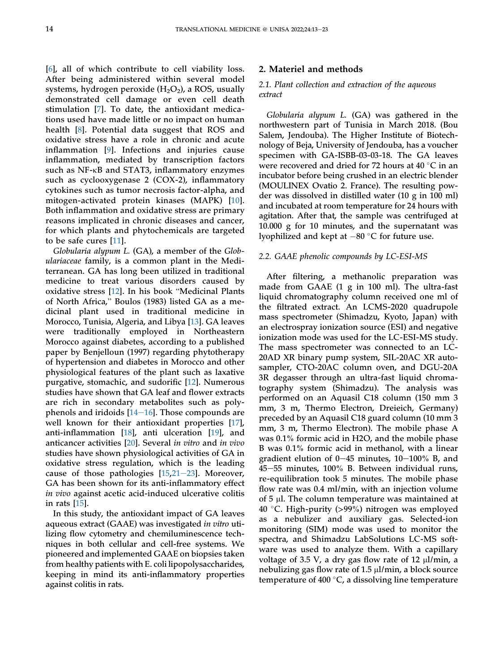[\[6](#page-11-5)], all of which contribute to cell viability loss. After being administered within several model systems, hydrogen peroxide  $(H_2O_2)$ , a ROS, usually demonstrated cell damage or even cell death stimulation [[7\]](#page-11-6). To date, the antioxidant medications used have made little or no impact on human health [[8\]](#page-11-7). Potential data suggest that ROS and oxidative stress have a role in chronic and acute inflammation [\[9](#page-11-8)]. Infections and injuries cause inflammation, mediated by transcription factors such as NF- $\kappa$ B and STAT3, inflammatory enzymes such as cyclooxygenase 2 (COX-2), inflammatory cytokines such as tumor necrosis factor-alpha, and mitogen-activated protein kinases (MAPK) [\[10](#page-11-9)]. Both inflammation and oxidative stress are primary reasons implicated in chronic diseases and cancer, for which plants and phytochemicals are targeted to be safe cures [\[11](#page-11-10)].

Globularia alypum L. (GA), a member of the Globulariaceae family, is a common plant in the Mediterranean. GA has long been utilized in traditional medicine to treat various disorders caused by terranean. GA has long been utilized in traditional<br>medicine to treat various disorders caused by<br>oxidative stress [\[12](#page-11-11)]. In his book "Medicinal Plants medicine to treat various disorders caused by<br>oxidative stress [12]. In his book "Medicinal Plants<br>of North Africa," Boulos (1983) listed GA as a medicinal plant used in traditional medicine in Morocco, Tunisia, Algeria, and Libya [\[13](#page-11-12)]. GA leaves were traditionally employed in Northeastern Morocco against diabetes, according to a published paper by Benjelloun (1997) regarding phytotherapy of hypertension and diabetes in Morocco and other physiological features of the plant such as laxative purgative, stomachic, and sudorific [[12\]](#page-11-11). Numerous studies have shown that GA leaf and flower extracts are rich in secondary metabolites such as polyphenols and iridoids  $[14-16]$  $[14-16]$  $[14-16]$ . Those compounds are well known for their antioxidant properties [\[17](#page-11-14)], anti-inflammation [\[18](#page-12-0)], anti ulceration [\[19](#page-12-1)], and anticancer activities [[20\]](#page-12-2). Several in vitro and in vivo studies have shown physiological activities of GA in oxidative stress regulation, which is the leading cause of those pathologies  $[15,21-23]$  $[15,21-23]$  $[15,21-23]$  $[15,21-23]$  $[15,21-23]$ . Moreover, GA has been shown for its anti-inflammatory effect in vivo against acetic acid-induced ulcerative colitis in rats [\[15](#page-11-15)].

In this study, the antioxidant impact of GA leaves aqueous extract (GAAE) was investigated in vitro utilizing flow cytometry and chemiluminescence techniques in both cellular and cell-free systems. We pioneered and implemented GAAE on biopsies taken from healthy patients with E. coli lipopolysaccharides, keeping in mind its anti-inflammatory properties against colitis in rats.

#### 2. Materiel and methods

### 2.1. Plant collection and extraction of the aqueous extract

Globularia alypum L. (GA) was gathered in the northwestern part of Tunisia in March 2018. (Bou Salem, Jendouba). The Higher Institute of Biotechnology of Beja, University of Jendouba, has a voucher specimen with GA-ISBB-03-03-18. The GA leaves were recovered and dried for 72 hours at 40  $\degree$ C in an incubator before being crushed in an electric blender (MOULINEX Ovatio 2. France). The resulting powder was dissolved in distilled water (10 g in 100 ml) and incubated at room temperature for 24 hours with agitation. After that, the sample was centrifuged at 10.000 g for 10 minutes, and the supernatant was lyophilized and kept at  $-80$  °C for future use.

#### 2.2. GAAE phenolic compounds by LC-ESI-MS

After filtering, a methanolic preparation was made from GAAE (1 g in 100 ml). The ultra-fast liquid chromatography column received one ml of the filtrated extract. An LCMS-2020 quadrupole mass spectrometer (Shimadzu, Kyoto, Japan) with an electrospray ionization source (ESI) and negative ionization mode was used for the LC-ESI-MS study. The mass spectrometer was connected to an LC-20AD XR binary pump system, SIL-20AC XR autosampler, CTO-20AC column oven, and DGU-20A 3R degasser through an ultra-fast liquid chromatography system (Shimadzu). The analysis was performed on an Aquasil C18 column (150 mm 3 mm, 3 m, Thermo Electron, Dreieich, Germany) preceded by an Aquasil C18 guard column (10 mm 3 mm, 3 m, Thermo Electron). The mobile phase A was 0.1% formic acid in H2O, and the mobile phase B was 0.1% formic acid in methanol, with a linear gradient elution of  $0-45$  minutes,  $10-100\%$  B, and  $45-55$  minutes,  $100\%$  B. Between individual runs, re-equilibration took 5 minutes. The mobile phase flow rate was 0.4 ml/min, with an injection volume of  $5 \mu$ l. The column temperature was maintained at 40 °C. High-purity ( $>99\%$ ) nitrogen was employed as a nebulizer and auxiliary gas. Selected-ion monitoring (SIM) mode was used to monitor the spectra, and Shimadzu LabSolutions LC-MS software was used to analyze them. With a capillary voltage of 3.5 V, a dry gas flow rate of 12 µl/min, a nebulizing gas flow rate of  $1.5 \mu$ l/min, a block source temperature of 400 $^{\circ}$ C, a dissolving line temperature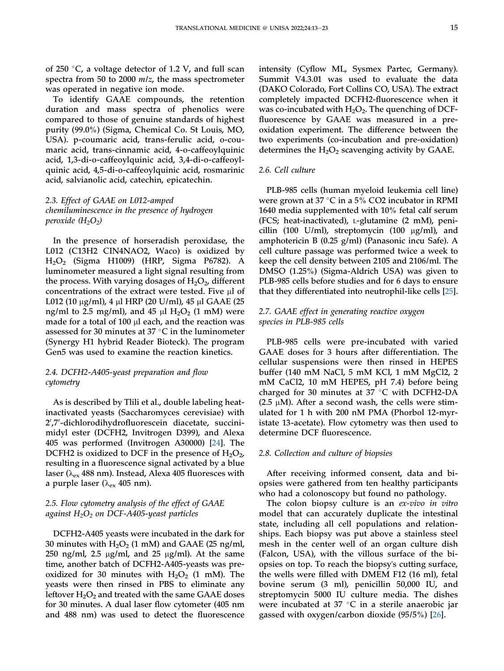of 250  $\degree$ C, a voltage detector of 1.2 V, and full scan spectra from 50 to 2000 m/z, the mass spectrometer was operated in negative ion mode.

To identify GAAE compounds, the retention duration and mass spectra of phenolics were compared to those of genuine standards of highest purity (99.0%) (Sigma, Chemical Co. St Louis, MO, USA). p-coumaric acid, trans-ferulic acid, o-coumaric acid, trans-cinnamic acid, 4-o-caffeoylquinic acid, 1,3-di-o-caffeoylquinic acid, 3,4-di-o-caffeoylquinic acid, 4,5-di-o-caffeoylquinic acid, rosmarinic acid, salvianolic acid, catechin, epicatechin.

### 2.3. Effect of GAAE on L012-amped chemiluminescence in the presence of hydrogen peroxide  $(H_2O_2)$

In the presence of horseradish peroxidase, the L012 (C13H2 CIN4NAO2, Waco) is oxidized by H2O2 (Sigma H1009) (HRP, Sigma P6782). A luminometer measured a light signal resulting from the process. With varying dosages of  $H_2O_2$ , different concentrations of the extract were tested. Five µl of L012 (10  $\mu$ g/ml), 4  $\mu$ l HRP (20 U/ml), 45  $\mu$ l GAAE (25 ng/ml to 2.5 mg/ml), and 45  $\mu$ l H<sub>2</sub>O<sub>2</sub> (1 mM) were made for a total of 100  $\mu$ l each, and the reaction was assessed for 30 minutes at 37  $\degree$ C in the luminometer (Synergy H1 hybrid Reader Bioteck). The program Gen5 was used to examine the reaction kinetics.

# 2.4. DCFH2-A405-yeast preparation and flow cytometry

As is described by Tlili et al., double labeling heatinactivated yeasts (Saccharomyces cerevisiae) with 2',7'-dichlorodihydrofluorescein diacetate, succinimidyl ester (DCFH2, Invitrogen D399), and Alexa 405 was performed (Invitrogen A30000) [[24\]](#page-12-4). The DCFH2 is oxidized to DCF in the presence of  $H_2O_2$ , resulting in a fluorescence signal activated by a blue laser ( $\lambda_{ex}$  488 nm). Instead, Alexa 405 fluoresces with a purple laser ( $\lambda_{ex}$  405 nm).

# 2.5. Flow cytometry analysis of the effect of GAAE against  $H_2O_2$  on DCF-A405-yeast particles

DCFH2-A405 yeasts were incubated in the dark for 30 minutes with  $H_2O_2$  (1 mM) and GAAE (25 ng/ml, 250 ng/ml, 2.5  $\mu$ g/ml, and 25  $\mu$ g/ml). At the same time, another batch of DCFH2-A405-yeasts was preoxidized for 30 minutes with  $H_2O_2$  (1 mM). The yeasts were then rinsed in PBS to eliminate any leftover  $H_2O_2$  and treated with the same GAAE doses for 30 minutes. A dual laser flow cytometer (405 nm and 488 nm) was used to detect the fluorescence

intensity (Cyflow ML, Sysmex Partec, Germany). Summit V4.3.01 was used to evaluate the data (DAKO Colorado, Fort Collins CO, USA). The extract completely impacted DCFH2-fluorescence when it was co-incubated with  $H_2O_2$ . The quenching of DCFfluorescence by GAAE was measured in a preoxidation experiment. The difference between the two experiments (co-incubation and pre-oxidation) determines the  $H_2O_2$  scavenging activity by GAAE.

# 2.6. Cell culture

PLB-985 cells (human myeloid leukemia cell line) were grown at 37  $\degree$ C in a 5% CO2 incubator in RPMI 1640 media supplemented with 10% fetal calf serum (FCS; heat-inactivated), L-glutamine (2 mM), penicillin (100 U/ml), streptomycin (100  $\mu$ g/ml), and amphotericin B (0.25 g/ml) (Panasonic incu Safe). A cell culture passage was performed twice a week to keep the cell density between 2105 and 2106/ml. The DMSO (1.25%) (Sigma-Aldrich USA) was given to PLB-985 cells before studies and for 6 days to ensure that they differentiated into neutrophil-like cells [\[25\]](#page-12-5).

# 2.7. GAAE effect in generating reactive oxygen species in PLB-985 cells

PLB-985 cells were pre-incubated with varied GAAE doses for 3 hours after differentiation. The cellular suspensions were then rinsed in HEPES buffer (140 mM NaCl, 5 mM KCl, 1 mM MgCl2, 2 mM CaCl2, 10 mM HEPES, pH 7.4) before being charged for 30 minutes at 37  $\degree$ C with DCFH2-DA (2.5  $\mu$ M). After a second wash, the cells were stimulated for 1 h with 200 nM PMA (Phorbol 12-myristate 13-acetate). Flow cytometry was then used to determine DCF fluorescence.

#### 2.8. Collection and culture of biopsies

After receiving informed consent, data and biopsies were gathered from ten healthy participants who had a colonoscopy but found no pathology.

The colon biopsy culture is an ex-vivo in vitro model that can accurately duplicate the intestinal state, including all cell populations and relationships. Each biopsy was put above a stainless steel mesh in the center well of an organ culture dish (Falcon, USA), with the villous surface of the biopsies on top. To reach the biopsy's cutting surface, the wells were filled with DMEM F12 (16 ml), fetal bovine serum (3 ml), penicillin 50,000 IU, and streptomycin 5000 IU culture media. The dishes were incubated at 37  $\degree$ C in a sterile anaerobic jar gassed with oxygen/carbon dioxide (95/5%) [\[26](#page-12-6)].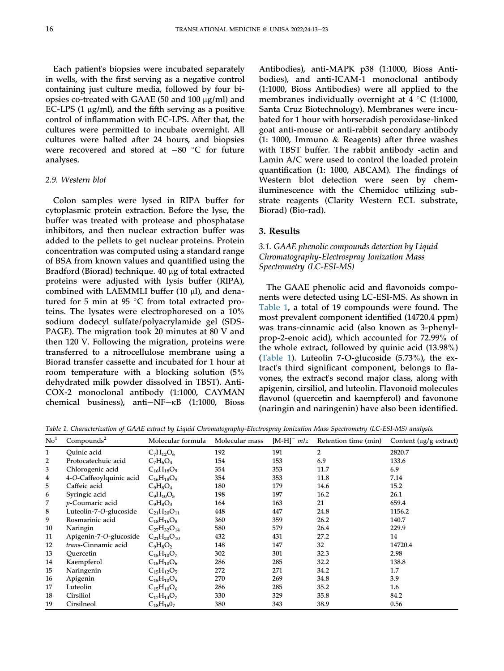Each patient's biopsies were incubated separately in wells, with the first serving as a negative control containing just culture media, followed by four biopsies co-treated with GAAE (50 and 100 µg/ml) and EC-LPS  $(1 \mu g/ml)$ , and the fifth serving as a positive control of inflammation with EC-LPS. After that, the cultures were permitted to incubate overnight. All cultures were halted after 24 hours, and biopsies were recovered and stored at  $-80$  °C for future analyses.

#### 2.9. Western blot

Colon samples were lysed in RIPA buffer for cytoplasmic protein extraction. Before the lyse, the buffer was treated with protease and phosphatase inhibitors, and then nuclear extraction buffer was added to the pellets to get nuclear proteins. Protein concentration was computed using a standard range of BSA from known values and quantified using the Bradford (Biorad) technique. 40 µg of total extracted proteins were adjusted with lysis buffer (RIPA), combined with LAEMMLI buffer (10 µl), and denatured for 5 min at 95  $\degree$ C from total extracted proteins. The lysates were electrophoresed on a 10% sodium dodecyl sulfate/polyacrylamide gel (SDS-PAGE). The migration took 20 minutes at 80 V and then 120 V. Following the migration, proteins were transferred to a nitrocellulose membrane using a Biorad transfer cassette and incubated for 1 hour at room temperature with a blocking solution (5% dehydrated milk powder dissolved in TBST). Anti-COX-2 monoclonal antibody (1:1000, CAYMAN chemical business), anti $-NF-\kappa B$  (1:1000, Bioss

Antibodies), anti-MAPK p38 (1:1000, Bioss Antibodies), and anti-ICAM-1 monoclonal antibody (1:1000, Bioss Antibodies) were all applied to the membranes individually overnight at  $4 °C$  (1:1000, Santa Cruz Biotechnology). Membranes were incubated for 1 hour with horseradish peroxidase-linked goat anti-mouse or anti-rabbit secondary antibody (1: 1000, Immuno & Reagents) after three washes with TBST buffer. The rabbit antibody -actin and Lamin A/C were used to control the loaded protein quantification (1: 1000, ABCAM). The findings of Western blot detection were seen by chemiluminescence with the Chemidoc utilizing substrate reagents (Clarity Western ECL substrate, Biorad) (Bio-rad).

#### 3. Results

# 3.1. GAAE phenolic compounds detection by Liquid Chromatography-Electrospray Ionization Mass Spectrometry (LC-ESI-MS)

The GAAE phenolic acid and flavonoids components were detected using LC-ESI-MS. As shown in [Table 1](#page-5-0), a total of 19 compounds were found. The most prevalent component identified (14720.4 ppm) was trans-cinnamic acid (also known as 3-phenylprop-2-enoic acid), which accounted for 72.99% of the whole extract, followed by quinic acid (13.98%) [\(Table 1\)](#page-5-0). Luteolin 7-O-glucoside (5.73%), the extract's third significant component, belongs to flavones, the extract's second major class, along with apigenin, cirsiliol, and luteolin. Flavonoid molecules flavonol (quercetin and kaempferol) and favonone (naringin and naringenin) have also been identified.

<span id="page-5-0"></span>Table 1. Characterization of GAAE extract by Liquid Chromatography-Electrospray Ionization Mass Spectrometry (LC-ESI-MS) analysis.

| $\mathrm{No}^1$ | Compounds <sup>2</sup>  | Molecular formula    | Molecular mass | $[M-H]$ <sup>-</sup> $mlz$ | Retention time (min) | Content (µg/g extract) |
|-----------------|-------------------------|----------------------|----------------|----------------------------|----------------------|------------------------|
| 1               | Ouinic acid             | $C_7H_{12}O_6$       | 192            | 191                        | $\overline{2}$       | 2820.7                 |
| 2               | Protocatechuic acid     | $C_7H_6O_4$          | 154            | 153                        | 6.9                  | 133.6                  |
| 3               | Chlorogenic acid        | $C_{16}H_{18}O_9$    | 354            | 353                        | 11.7                 | 6.9                    |
| 4               | 4-O-Caffeoylquinic acid | $C_{16}H_{18}O_9$    | 354            | 353                        | 11.8                 | 7.14                   |
| 5               | Caffeic acid            | $C_9H_8O_4$          | 180            | 179                        | 14.6                 | 15.2                   |
| 6               | Syringic acid           | $C_9H_{10}O_5$       | 198            | 197                        | 16.2                 | 26.1                   |
| 7               | p-Coumaric acid         | $C_9H_8O_3$          | 164            | 163                        | 21                   | 659.4                  |
| 8               | Luteolin-7-O-glucoside  | $C_{21}H_{20}O_{11}$ | 448            | 447                        | 24.8                 | 1156.2                 |
| 9               | Rosmarinic acid         | $C_{18}H_{16}O_8$    | 360            | 359                        | 26.2                 | 140.7                  |
| 10              | Naringin                | $C_{27}H_{32}O_{14}$ | 580            | 579                        | 26.4                 | 229.9                  |
| 11              | Apigenin-7-O-glucoside  | $C_{21}H_{20}O_{10}$ | 432            | 431                        | 27.2                 | 14                     |
| 12              | trans-Cinnamic acid     | $C_9H_8O_2$          | 148            | 147                        | 32                   | 14720.4                |
| 13              | Ouercetin               | $C_{15}H_{10}O_7$    | 302            | 301                        | 32.3                 | 2.98                   |
| 14              | Kaempferol              | $C_{15}H_{10}O_6$    | 286            | 285                        | 32.2                 | 138.8                  |
| 15              | Naringenin              | $C_{15}H_{12}O_5$    | 272            | 271                        | 34.2                 | 1.7                    |
| 16              | Apigenin                | $C_{15}H_{10}O_5$    | 270            | 269                        | 34.8                 | 3.9                    |
| 17              | Luteolin                | $C_{15}H_{10}O_6$    | 286            | 285                        | 35.2                 | 1.6                    |
| 18              | Cirsiliol               | $C_{17}H_{14}O_7$    | 330            | 329                        | 35.8                 | 84.2                   |
| 19              | Cirsilneol              | $C_{18}H_{16}0_7$    | 380            | 343                        | 38.9                 | 0.56                   |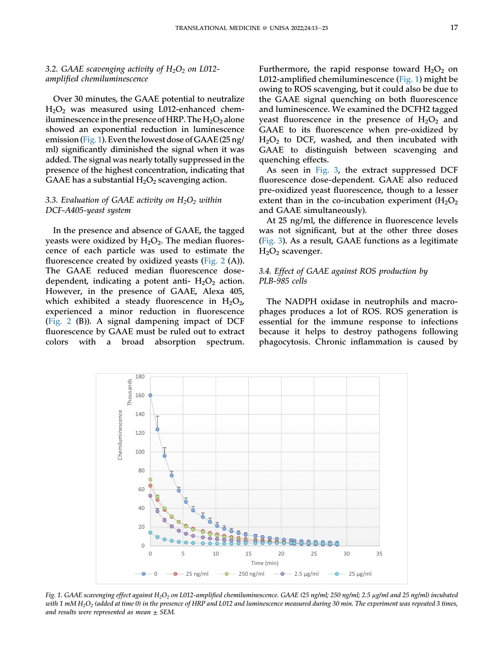### 3.2. GAAE scavenging activity of  $H_2O_2$  on L012amplified chemiluminescence

Over 30 minutes, the GAAE potential to neutralize H2O2 was measured using L012-enhanced chemiluminescence in the presence of HRP. The  $H_2O_2$  alone showed an exponential reduction in luminescence emission [\(Fig. 1](#page-6-0)). Even thelowest dose of GAAE (25 ng/ ml) significantly diminished the signal when it was added. The signal was nearly totally suppressed in the presence of the highest concentration, indicating that GAAE has a substantial  $H_2O_2$  scavenging action.

# 3.3. Evaluation of GAAE activity on  $H_2O_2$  within DCF-A405-yeast system

In the presence and absence of GAAE, the tagged yeasts were oxidized by  $H_2O_2$ . The median fluorescence of each particle was used to estimate the fluorescence created by oxidized yeasts [\(Fig. 2](#page-7-0) (A)). The GAAE reduced median fluorescence dosedependent, indicating a potent anti-  $H_2O_2$  action. However, in the presence of GAAE, Alexa 405, which exhibited a steady fluorescence in  $H_2O_2$ , experienced a minor reduction in fluorescence [\(Fig. 2](#page-7-0) (B)). A signal dampening impact of DCF fluorescence by GAAE must be ruled out to extract colors with a broad absorption spectrum.

Furthermore, the rapid response toward  $H_2O_2$  on L012-amplified chemiluminescence ([Fig. 1\)](#page-6-0) might be owing to ROS scavenging, but it could also be due to the GAAE signal quenching on both fluorescence and luminescence. We examined the DCFH2 tagged yeast fluorescence in the presence of  $H_2O_2$  and GAAE to its fluorescence when pre-oxidized by  $H<sub>2</sub>O<sub>2</sub>$  to DCF, washed, and then incubated with GAAE to distinguish between scavenging and quenching effects.

As seen in [Fig. 3,](#page-7-1) the extract suppressed DCF fluorescence dose-dependent. GAAE also reduced pre-oxidized yeast fluorescence, though to a lesser extent than in the co-incubation experiment  $(H_2O_2)$ and GAAE simultaneously).

At 25 ng/ml, the difference in fluorescence levels was not significant, but at the other three doses [\(Fig. 3\)](#page-7-1). As a result, GAAE functions as a legitimate  $H<sub>2</sub>O<sub>2</sub>$  scavenger.

### 3.4. Effect of GAAE against ROS production by PLB-985 cells

The NADPH oxidase in neutrophils and macrophages produces a lot of ROS. ROS generation is essential for the immune response to infections because it helps to destroy pathogens following phagocytosis. Chronic inflammation is caused by

<span id="page-6-0"></span>

Fig. 1. GAAE scavenging effect against H<sub>2</sub>O<sub>2</sub> on L012-amplified chemiluminescence. GAAE (25 ng/ml; 250 ng/ml; 2.5 µg/ml and 25 ng/ml) incubated with 1 mM  $H_2O_2$  (added at time 0) in the presence of HRP and L012 and luminescence measured during 30 min. The experiment was repeated 3 times, and results were represented as mean  $\pm$  SEM.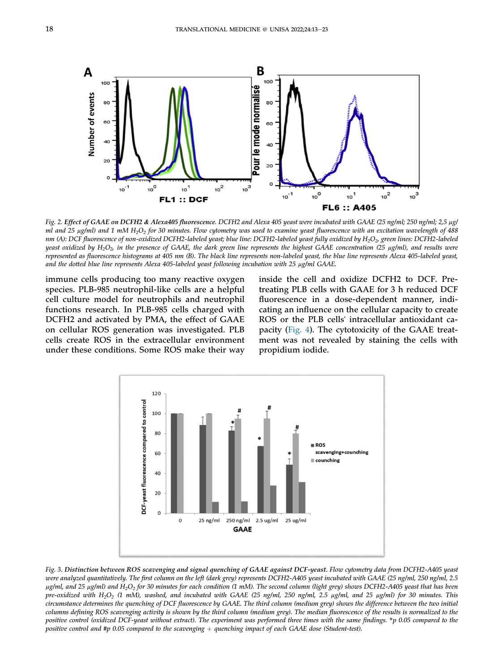<span id="page-7-0"></span>

Fig. 2. Effect of GAAE on DCFH2 & Alexa405 fluorescence. DCFH2 and Alexa 405 yeast were incubated with GAAE (25 ng/ml; 250 ng/ml; 2,5 µg/ ml and 25  $\mu$ g/ml) and 1 mM H<sub>2</sub>O<sub>2</sub> for 30 minutes. Flow cytometry was used to examine yeast fluorescence with an excitation wavelength of 488 nm (A): DCF fluorescence of non-oxidized DCFH2-labeled yeast; blue line: DCFH2-labeled yeast fully oxidized by  $H_2O_2$ , green lines: DCFH2-labeled yeast oxidized by  $H_2O_2$  in the presence of GAAE, the dark green line represents the highest GAAE concentration (25  $\mu$ g/ml), and results were represented as fluorescence histograms at 405 nm (B). The black line represents non-labeled yeast, the blue line represents Alexa 405-labeled yeast, and the dotted blue line represents Alexa 405-labeled yeast following incubation with 25 µg/ml GAAE.

immune cells producing too many reactive oxygen species. PLB-985 neutrophil-like cells are a helpful cell culture model for neutrophils and neutrophil functions research. In PLB-985 cells charged with DCFH2 and activated by PMA, the effect of GAAE on cellular ROS generation was investigated. PLB cells create ROS in the extracellular environment under these conditions. Some ROS make their way

inside the cell and oxidize DCFH2 to DCF. Pretreating PLB cells with GAAE for 3 h reduced DCF fluorescence in a dose-dependent manner, indicating an influence on the cellular capacity to create ROS or the PLB cells' intracellular antioxidant capacity ([Fig. 4\)](#page-8-0). The cytotoxicity of the GAAE treatment was not revealed by staining the cells with propidium iodide.

<span id="page-7-1"></span>

Fig. 3. Distinction between ROS scavenging and signal quenching of GAAE against DCF-yeast. Flow cytometry data from DCFH2-A405 yeast were analyzed quantitatively. The first column on the left (dark grey) represents DCFH2-A405 yeast incubated with GAAE (25 ng/ml, 250 ng/ml, 2.5  $\mu$ g/ml, and 25  $\mu$ g/ml) and H<sub>2</sub>O<sub>2</sub> for 30 minutes for each condition (1 mM). The second column (light grey) shows DCFH2-A405 yeast that has been pre-oxidized with H<sub>2</sub>O<sub>2</sub> (1 mM), washed, and incubated with GAAE (25 ng/ml, 250 ng/ml, 2.5 µg/ml, and 25 µg/ml) for 30 minutes. This circumstance determines the quenching of DCF fluorescence by GAAE. The third column (medium grey) shows the difference between the two initial columns defining ROS scavenging activity is shown by the third column (medium grey). The median fluorescence of the results is normalized to the positive control (oxidized DCF-yeast without extract). The experiment was performed three times with the same findings. \*p 0.05 compared to the positive control and #p 0.05 compared to the scavenging  $+$  quenching impact of each GAAE dose (Student-test).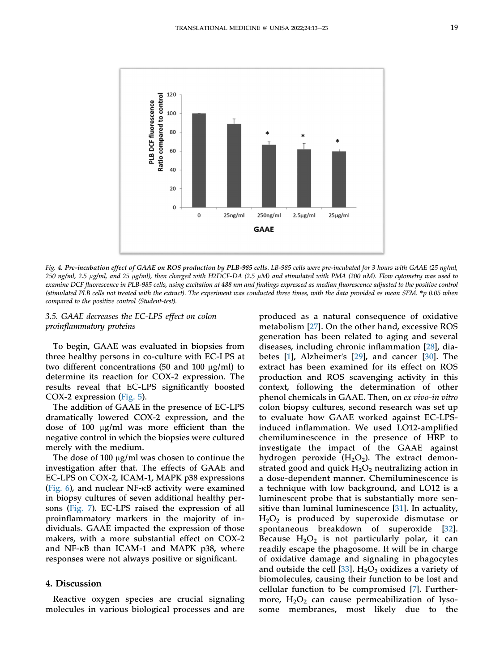<span id="page-8-0"></span>

Fig. 4. Pre-incubation effect of GAAE on ROS production by PLB-985 cells. LB-985 cells were pre-incubated for 3 hours with GAAE (25 ng/ml, 250 ng/ml, 2.5 µg/ml, and 25 µg/ml), then charged with H2DCF-DA (2.5 µM) and stimulated with PMA (200 nM). Flow cytometry was used to examine DCF fluorescence in PLB-985 cells, using excitation at 488 nm and findings expressed as median fluorescence adjusted to the positive control (stimulated PLB cells not treated with the extract). The experiment was conducted three times, with the data provided as mean SEM. \*p 0.05 when compared to the positive control (Student-test).

3.5. GAAE decreases the EC-LPS effect on colon proinflammatory proteins

To begin, GAAE was evaluated in biopsies from three healthy persons in co-culture with EC-LPS at two different concentrations (50 and 100  $\mu$ g/ml) to determine its reaction for COX-2 expression. The results reveal that EC-LPS significantly boosted COX-2 expression [\(Fig. 5\)](#page-9-0).

The addition of GAAE in the presence of EC-LPS dramatically lowered COX-2 expression, and the dose of 100 µg/ml was more efficient than the negative control in which the biopsies were cultured merely with the medium.

The dose of 100  $\mu$ g/ml was chosen to continue the investigation after that. The effects of GAAE and EC-LPS on COX-2, ICAM-1, MAPK p38 expressions [\(Fig. 6](#page-9-1)), and nuclear NF-kB activity were examined in biopsy cultures of seven additional healthy persons [\(Fig. 7\)](#page-10-0). EC-LPS raised the expression of all proinflammatory markers in the majority of individuals. GAAE impacted the expression of those makers, with a more substantial effect on COX-2 and NF-kB than ICAM-1 and MAPK p38, where responses were not always positive or significant.

#### 4. Discussion

Reactive oxygen species are crucial signaling molecules in various biological processes and are produced as a natural consequence of oxidative metabolism [[27](#page-12-7)]. On the other hand, excessive ROS generation has been related to aging and several diseases, including chronic inflammation [[28\]](#page-12-8), diabetes [[1](#page-11-0)], Alzheimer's [[29](#page-12-9)], and cancer [\[30](#page-12-10)]. The extract has been examined for its effect on ROS production and ROS scavenging activity in this context, following the determination of other phenol chemicals in GAAE. Then, on ex vivo-in vitro colon biopsy cultures, second research was set up to evaluate how GAAE worked against EC-LPSinduced inflammation. We used LO12-amplified chemiluminescence in the presence of HRP to investigate the impact of the GAAE against hydrogen peroxide  $(H_2O_2)$ . The extract demonstrated good and quick  $H_2O_2$  neutralizing action in a dose-dependent manner. Chemiluminescence is a technique with low background, and LO12 is a luminescent probe that is substantially more sensitive than luminal luminescence [[31](#page-12-11)]. In actuality, H2O2 is produced by superoxide dismutase or spontaneous breakdown of superoxide [\[32\]](#page-12-12). Because  $H_2O_2$  is not particularly polar, it can readily escape the phagosome. It will be in charge of oxidative damage and signaling in phagocytes and outside the cell [\[33](#page-12-13)].  $H_2O_2$  oxidizes a variety of biomolecules, causing their function to be lost and cellular function to be compromised [[7\]](#page-11-6). Furthermore,  $H_2O_2$  can cause permeabilization of lysosome membranes, most likely due to the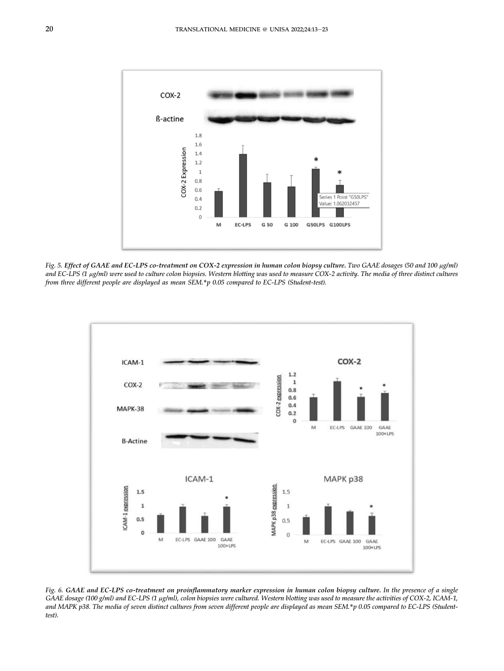<span id="page-9-0"></span>

Fig. 5. Effect of GAAE and EC-LPS co-treatment on COX-2 expression in human colon biopsy culture. Two GAAE dosages (50 and 100 µg/ml) and EC-LPS (1 µg/ml) were used to culture colon biopsies. Western blotting was used to measure COX-2 activity. The media of three distinct cultures from three different people are displayed as mean SEM.\*p 0.05 compared to EC-LPS (Student-test).

<span id="page-9-1"></span>

Fig. 6. GAAE and EC-LPS co-treatment on proinflammatory marker expression in human colon biopsy culture. In the presence of a single GAAE dosage (100 g/ml) and EC-LPS (1 µg/ml), colon biopsies were cultured. Western blotting was used to measure the activities of COX-2, ICAM-1, and MAPK p38. The media of seven distinct cultures from seven different people are displayed as mean SEM.\*p 0.05 compared to EC-LPS (Studenttest).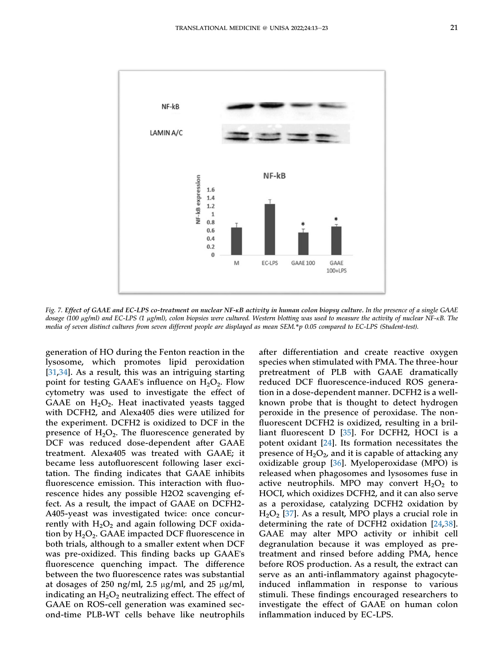<span id="page-10-0"></span>![](_page_10_Figure_1.jpeg)

Fig. 7. Effect of GAAE and EC-LPS co-treatment on nuclear NF-kB activity in human colon biopsy culture. In the presence of a single GAAE dosage (100 µg/ml) and EC-LPS (1 µg/ml), colon biopsies were cultured. Western blotting was used to measure the activity of nuclear NF-KB. The media of seven distinct cultures from seven different people are displayed as mean SEM.\*p 0.05 compared to EC-LPS (Student-test).

generation of HO during the Fenton reaction in the lysosome, which promotes lipid peroxidation [\[31](#page-12-11),[34](#page-12-14)]. As a result, this was an intriguing starting point for testing GAAE's influence on  $H_2O_2$ . Flow cytometry was used to investigate the effect of GAAE on  $H_2O_2$ . Heat inactivated yeasts tagged with DCFH2, and Alexa405 dies were utilized for the experiment. DCFH2 is oxidized to DCF in the presence of  $H_2O_2$ . The fluorescence generated by DCF was reduced dose-dependent after GAAE treatment. Alexa405 was treated with GAAE; it became less autofluorescent following laser excitation. The finding indicates that GAAE inhibits fluorescence emission. This interaction with fluorescence hides any possible H2O2 scavenging effect. As a result, the impact of GAAE on DCFH2- A405-yeast was investigated twice: once concurrently with  $H_2O_2$  and again following DCF oxidation by  $H_2O_2$ . GAAE impacted DCF fluorescence in both trials, although to a smaller extent when DCF was pre-oxidized. This finding backs up GAAE's fluorescence quenching impact. The difference between the two fluorescence rates was substantial at dosages of 250 ng/ml, 2.5  $\mu$ g/ml, and 25  $\mu$ g/ml, indicating an  $H_2O_2$  neutralizing effect. The effect of GAAE on ROS-cell generation was examined second-time PLB-WT cells behave like neutrophils

after differentiation and create reactive oxygen species when stimulated with PMA. The three-hour pretreatment of PLB with GAAE dramatically reduced DCF fluorescence-induced ROS generation in a dose-dependent manner. DCFH2 is a wellknown probe that is thought to detect hydrogen peroxide in the presence of peroxidase. The nonfluorescent DCFH2 is oxidized, resulting in a brilliant fluorescent D [\[35\]](#page-12-15). For DCFH2, HOCI is a potent oxidant [\[24](#page-12-4)]. Its formation necessitates the presence of  $H_2O_2$ , and it is capable of attacking any oxidizable group [[36\]](#page-12-16). Myeloperoxidase (MPO) is released when phagosomes and lysosomes fuse in active neutrophils. MPO may convert  $H_2O_2$  to HOCI, which oxidizes DCFH2, and it can also serve as a peroxidase, catalyzing DCFH2 oxidation by  $H<sub>2</sub>O<sub>2</sub>$  [\[37](#page-12-17)]. As a result, MPO plays a crucial role in determining the rate of DCFH2 oxidation [[24](#page-12-4)[,38\]](#page-12-18). GAAE may alter MPO activity or inhibit cell degranulation because it was employed as pretreatment and rinsed before adding PMA, hence before ROS production. As a result, the extract can serve as an anti-inflammatory against phagocyteinduced inflammation in response to various stimuli. These findings encouraged researchers to investigate the effect of GAAE on human colon inflammation induced by EC-LPS.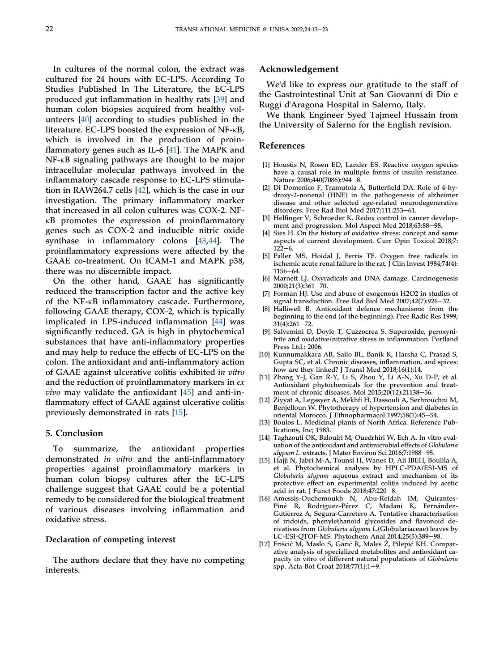In cultures of the normal colon, the extract was cultured for 24 hours with EC-LPS. According To Studies Published In The Literature, the EC-LPS produced gut inflammation in healthy rats [\[39](#page-12-19)] and human colon biopsies acquired from healthy volunteers [\[40](#page-12-20)] according to studies published in the literature. EC-LPS boosted the expression of NF-kB, which is involved in the production of proinflammatory genes such as IL-6 [\[41](#page-12-21)]. The MAPK and NF-kB signaling pathways are thought to be major intracellular molecular pathways involved in the inflammatory cascade response to EC-LPS stimulation in RAW264.7 cells [[42\]](#page-12-22), which is the case in our investigation. The primary inflammatory marker that increased in all colon cultures was COX-2. NFkB promotes the expression of proinflammatory genes such as COX-2 and inducible nitric oxide synthase in inflammatory colons [\[43](#page-12-23),[44](#page-12-24)]. The proinflammatory expressions were affected by the GAAE co-treatment. On ICAM-1 and MAPK p38, there was no discernible impact.

On the other hand, GAAE has significantly reduced the transcription factor and the active key of the NF-kB inflammatory cascade. Furthermore, following GAAE therapy, COX-2, which is typically implicated in LPS-induced inflammation [\[44](#page-12-24)] was significantly reduced. GA is high in phytochemical substances that have anti-inflammatory properties and may help to reduce the effects of EC-LPS on the colon. The antioxidant and anti-inflammatory action of GAAE against ulcerative colitis exhibited in vitro and the reduction of proinflammatory markers in ex *vivo* may validate the antioxidant  $[45]$  $[45]$  and anti-inflammatory effect of GAAE against ulcerative colitis previously demonstrated in rats [\[15](#page-11-15)].

#### 5. Conclusion

To summarize, the antioxidant properties demonstrated in vitro and the anti-inflammatory properties against proinflammatory markers in human colon biopsy cultures after the EC-LPS challenge suggest that GAAE could be a potential remedy to be considered for the biological treatment of various diseases involving inflammation and oxidative stress.

#### Declaration of competing interest

The authors declare that they have no competing interests.

#### Acknowledgement

We'd like to express our gratitude to the staff of the Gastrointestinal Unit at San Giovanni di Dio e Ruggi d'Aragona Hospital in Salerno, Italy.

We thank Engineer Syed Tajmeel Hussain from the University of Salerno for the English revision.

#### References

- <span id="page-11-0"></span>[1] Houstis N, Rosen ED, Lander ES. Reactive oxygen species have a causal role in multiple forms of insulin resistance. Nature 2006;440(7086):944-8.
- <span id="page-11-1"></span>[2] Di Domenico F, Tramutola A, Butterfield DA. Role of 4-hydroxy-2-nonenal (HNE) in the pathogenesis of alzheimer disease and other selected age-related neurodegenerative disorders. Free Rad Biol Med  $2017;111:253-61$ .
- <span id="page-11-2"></span>[3] Helfinger V, Schroeder K. Redox control in cancer development and progression. Mol Aspect Med 2018;63:88-98.
- <span id="page-11-3"></span>[4] Sies H. On the history of oxidative stress: concept and some aspects of current development. Curr Opin Toxicol 2018;7:  $122 - 6$ .
- <span id="page-11-4"></span>[5] Paller MS, Hoidal J, Ferris TF. Oxygen free radicals in ischemic acute renal failure in the rat.  $\tilde{J}$  Clin Invest 1984;74(4):  $1156 - 64.$
- <span id="page-11-5"></span>[6] Marnett LJ. Oxyradicals and DNA damage. Carcinogenesis  $2000;21(3):361 - 70.$
- <span id="page-11-6"></span>[7] Forman HJ. Use and abuse of exogenous H2O2 in studies of signal transduction. Free Rad Biol Med 2007;42(7):926-32.
- <span id="page-11-7"></span>[8] Halliwell B. Antioxidant defence mechanisms: from the beginning to the end (of the beginning). Free Radic Res 1999;  $31(4):261-72.$
- <span id="page-11-8"></span>[9] Salvemini D, Doyle T, Cuzzocrea S. Superoxide, peroxynitrite and oxidative/nitrative stress in inflammation. Portland Press Ltd.; 2006.
- <span id="page-11-9"></span>[10] Kunnumakkara AB, Sailo BL, Banik K, Harsha C, Prasad S, Gupta SC, et al. Chronic diseases, inflammation, and spices: how are they linked? J Transl Med 2018;16(1):14.
- <span id="page-11-10"></span>[11] Zhang Y-J, Gan R-Y, Li S, Zhou Y, Li A-N, Xu D-P, et al. Antioxidant phytochemicals for the prevention and treatment of chronic diseases. Mol 2015;20(12):21138-56.
- <span id="page-11-11"></span>[12] Ziyyat A, Legssyer A, Mekhfi H, Dassouli A, Serhrouchni M, Benjelloun W. Phytotherapy of hypertension and diabetes in oriental Morocco. J Ethnopharmacol 1997;58(1):45-54.
- <span id="page-11-12"></span>[13] Boulos L. Medicinal plants of North Africa. Reference Publications, Inc; 1983.
- <span id="page-11-13"></span>[14] Taghzouti OK, Balouiri M, Ouedrhiri W, Ech A. In vitro evaluation of the antioxidant and antimicrobial effects of Globularia alypum L. extracts. J Mater Environ Sci 2016;7:1988-95.
- <span id="page-11-15"></span>[15] Hajji N, Jabri M-A, Tounsi H, Wanes D, Ali IBEH, Boulila A, et al. Phytochemical analysis by HPLC-PDA/ESI-MS of Globularia alypum aqueous extract and mechanism of its protective effect on experimental colitis induced by acetic acid in rat. J Funct Foods  $2018;47:220-8$ .
- [16] Amessis-Ouchemoukh N, Abu-Reidah IM, Quirantes-Piné R, Rodríguez-Pérez C, Madani K, Fernández-Gutiérrez A, Segura-Carretero A. Tentative characterisation of iridoids, phenylethanoid glycosides and flavonoid derivatives from Globularia alypum L.(Globulariaceae) leaves by LC-ESI-QTOF-MS. Phytochem Anal 2014;25(5):389-98.
- <span id="page-11-14"></span>[17] Friščić M, Maslo S, Garić R, Maleš Ž, Pilepić KH. Comparative analysis of specialized metabolites and antioxidant capacity in vitro of different natural populations of Globularia spp. Acta Bot Croat 2018;77(1):1–9.